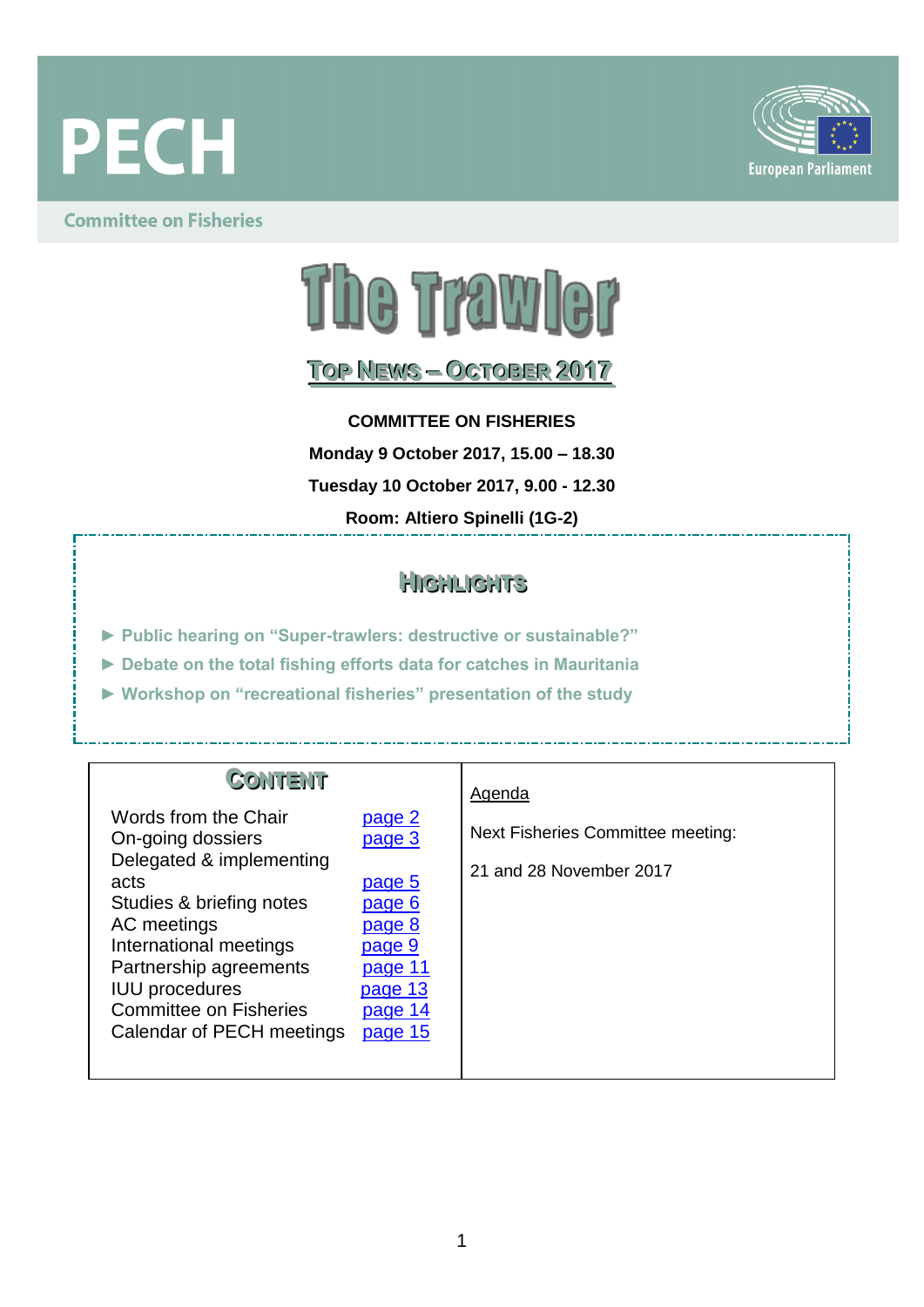



### **Committee on Fisheries**



## **TOOPP NEEWWSS–– OCCTTOOBBEERR 2017**

**COMMITTEE ON FISHERIES**

**Monday 9 October 2017, 15.00 – 18.30**

**Tuesday 10 October 2017, 9.00 - 12.30**

**Room: Altiero Spinelli (1G-2)**

### **HI IIGGHHLLI IIGGHHTTSS**

- **► Public hearing on "Super-trawlers: destructive or sustainable?"**
- **► Debate on the total fishing efforts data for catches in Mauritania**
- **► Workshop on "recreational fisheries" presentation of the study**

| <b>CONTENT</b><br>Words from the Chair<br>On-going dossiers<br>Delegated & implementing<br>acts<br>Studies & briefing notes<br>AC meetings<br>International meetings<br>Partnership agreements<br><b>IUU</b> procedures<br><b>Committee on Fisheries</b><br>Calendar of PECH meetings | page 2<br><u>page 3</u><br>page 5<br>page 6<br>page 8<br>page 9<br>page 11<br>page 13<br>page 14<br>page 15 | Agenda<br>Next Fisheries Committee meeting:<br>21 and 28 November 2017 |
|---------------------------------------------------------------------------------------------------------------------------------------------------------------------------------------------------------------------------------------------------------------------------------------|-------------------------------------------------------------------------------------------------------------|------------------------------------------------------------------------|
|---------------------------------------------------------------------------------------------------------------------------------------------------------------------------------------------------------------------------------------------------------------------------------------|-------------------------------------------------------------------------------------------------------------|------------------------------------------------------------------------|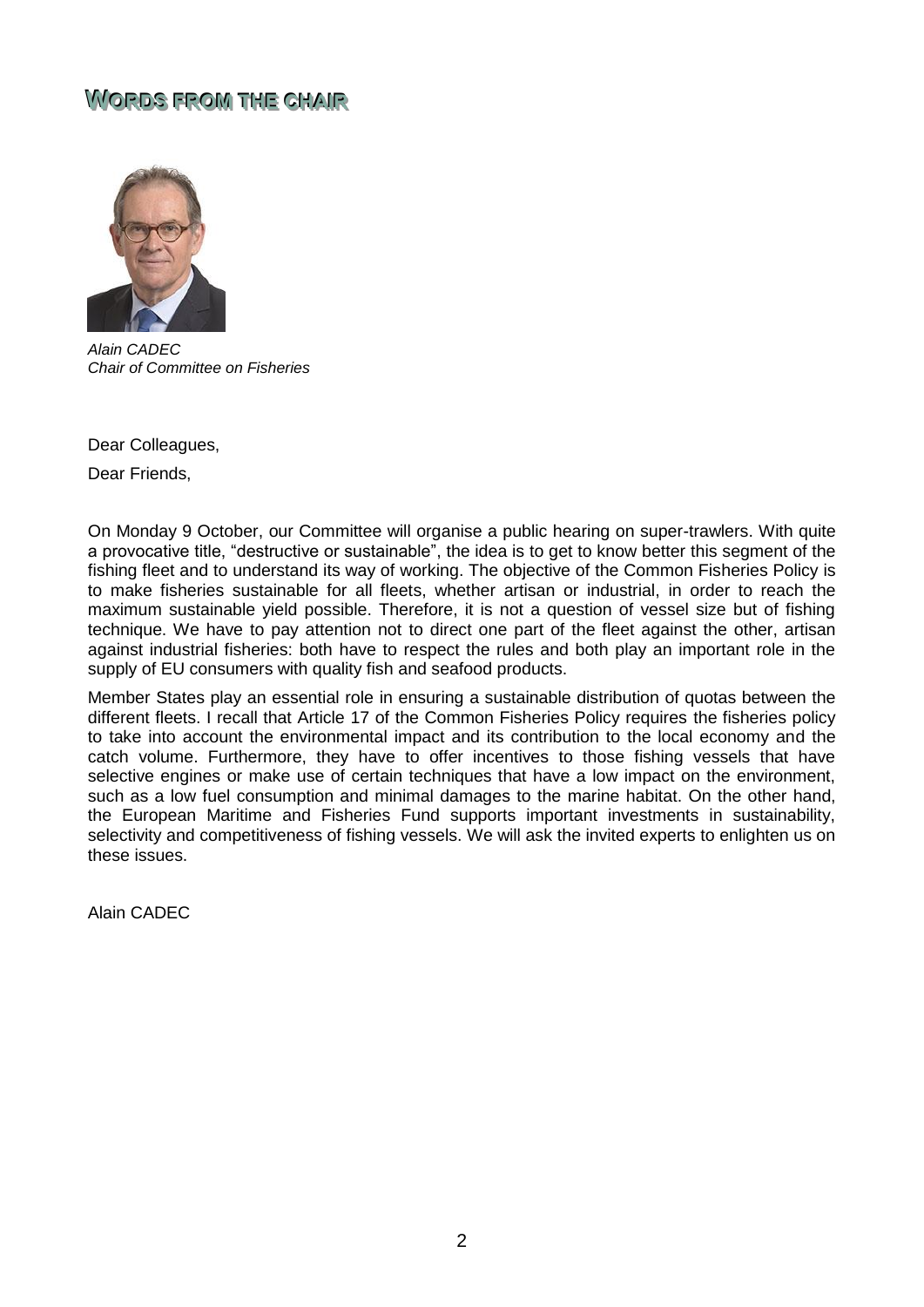### <span id="page-1-0"></span> $W$ ORDS FROM THE CHAIR



*Alain CADEC Chair of Committee on Fisheries*

Dear Colleagues,

Dear Friends,

On Monday 9 October, our Committee will organise a public hearing on super-trawlers. With quite a provocative title, "destructive or sustainable", the idea is to get to know better this segment of the fishing fleet and to understand its way of working. The objective of the Common Fisheries Policy is to make fisheries sustainable for all fleets, whether artisan or industrial, in order to reach the maximum sustainable yield possible. Therefore, it is not a question of vessel size but of fishing technique. We have to pay attention not to direct one part of the fleet against the other, artisan against industrial fisheries: both have to respect the rules and both play an important role in the supply of EU consumers with quality fish and seafood products.

Member States play an essential role in ensuring a sustainable distribution of quotas between the different fleets. I recall that Article 17 of the Common Fisheries Policy requires the fisheries policy to take into account the environmental impact and its contribution to the local economy and the catch volume. Furthermore, they have to offer incentives to those fishing vessels that have selective engines or make use of certain techniques that have a low impact on the environment, such as a low fuel consumption and minimal damages to the marine habitat. On the other hand, the European Maritime and Fisheries Fund supports important investments in sustainability, selectivity and competitiveness of fishing vessels. We will ask the invited experts to enlighten us on these issues.

Alain CADEC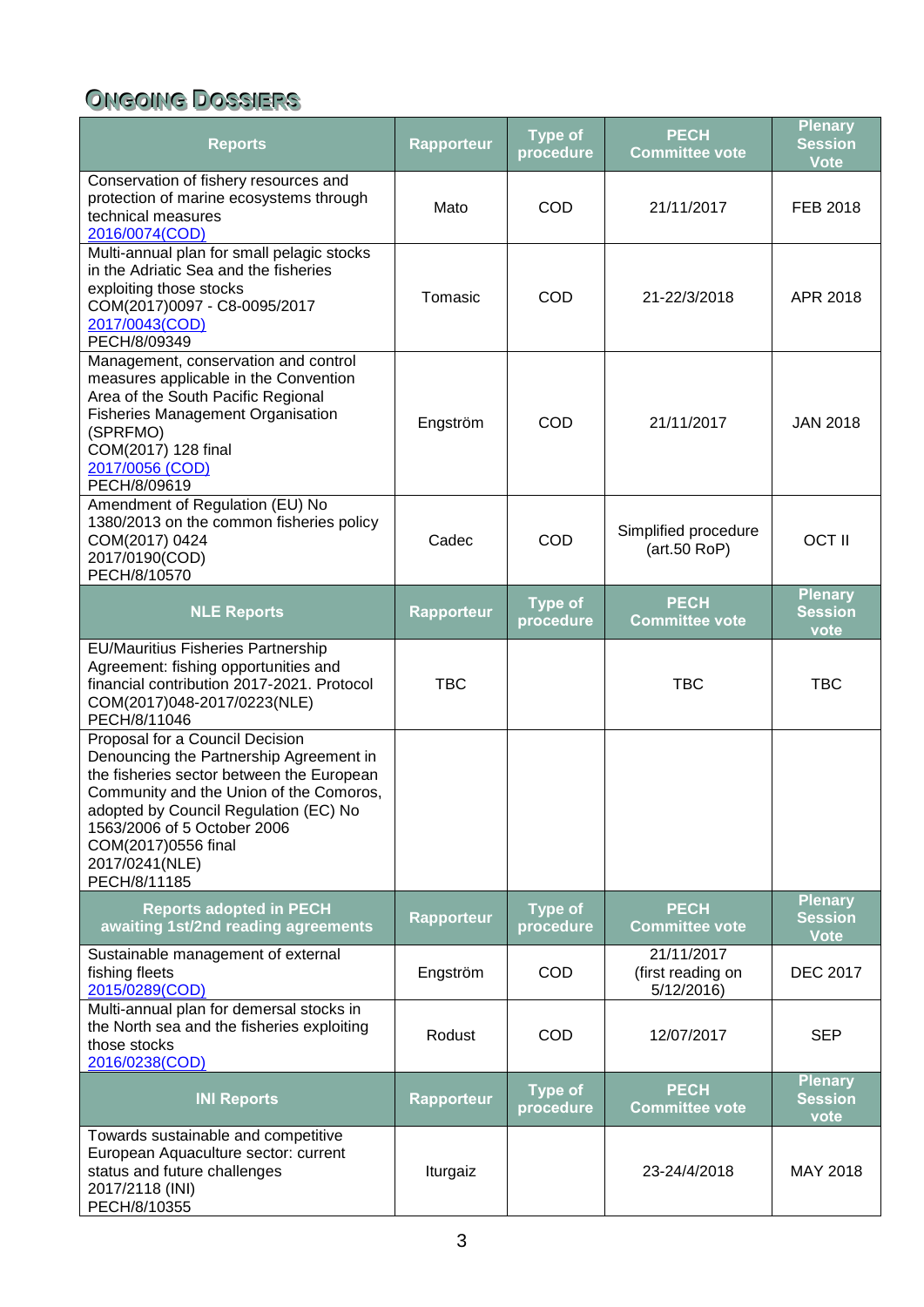# <span id="page-2-0"></span>**ONGOING DOSSIERS**

| <b>Reports</b>                                                                                                                                                                                                                                                                                      | <b>Rapporteur</b> | <b>Type of</b><br>procedure | <b>PECH</b><br><b>Committee vote</b>          | <b>Plenary</b><br><b>Session</b><br><b>Vote</b> |
|-----------------------------------------------------------------------------------------------------------------------------------------------------------------------------------------------------------------------------------------------------------------------------------------------------|-------------------|-----------------------------|-----------------------------------------------|-------------------------------------------------|
| Conservation of fishery resources and<br>protection of marine ecosystems through<br>technical measures<br>2016/0074(COD)                                                                                                                                                                            | Mato              | COD                         | 21/11/2017                                    | FEB 2018                                        |
| Multi-annual plan for small pelagic stocks<br>in the Adriatic Sea and the fisheries<br>exploiting those stocks<br>COM(2017)0097 - C8-0095/2017<br>2017/0043(COD)<br>PECH/8/09349                                                                                                                    | Tomasic           | COD                         | 21-22/3/2018                                  | APR 2018                                        |
| Management, conservation and control<br>measures applicable in the Convention<br>Area of the South Pacific Regional<br><b>Fisheries Management Organisation</b><br>(SPRFMO)<br>COM(2017) 128 final<br>2017/0056 (COD)<br>PECH/8/09619                                                               | Engström          | COD                         | 21/11/2017                                    | <b>JAN 2018</b>                                 |
| Amendment of Regulation (EU) No<br>1380/2013 on the common fisheries policy<br>COM(2017) 0424<br>2017/0190(COD)<br>PECH/8/10570                                                                                                                                                                     | Cadec             | <b>COD</b>                  | Simplified procedure<br>(art.50 RoP)          | <b>OCT II</b>                                   |
| <b>NLE Reports</b>                                                                                                                                                                                                                                                                                  | <b>Rapporteur</b> | <b>Type of</b><br>procedure | <b>PECH</b><br><b>Committee vote</b>          | <b>Plenary</b><br><b>Session</b><br>vote        |
| <b>EU/Mauritius Fisheries Partnership</b><br>Agreement: fishing opportunities and<br>financial contribution 2017-2021. Protocol<br>COM(2017)048-2017/0223(NLE)<br>PECH/8/11046                                                                                                                      | <b>TBC</b>        |                             | <b>TBC</b>                                    | <b>TBC</b>                                      |
| Proposal for a Council Decision<br>Denouncing the Partnership Agreement in<br>the fisheries sector between the European<br>Community and the Union of the Comoros,<br>adopted by Council Regulation (EC) No<br>1563/2006 of 5 October 2006<br>COM(2017)0556 final<br>2017/0241(NLE)<br>PECH/8/11185 |                   |                             |                                               |                                                 |
| <b>Reports adopted in PECH</b><br>awaiting 1st/2nd reading agreements                                                                                                                                                                                                                               | <b>Rapporteur</b> | <b>Type of</b><br>procedure | <b>PECH</b><br><b>Committee vote</b>          | <b>Plenary</b><br><b>Session</b><br><b>Vote</b> |
| Sustainable management of external<br>fishing fleets<br>2015/0289(COD)                                                                                                                                                                                                                              | Engström          | <b>COD</b>                  | 21/11/2017<br>(first reading on<br>5/12/2016) | <b>DEC 2017</b>                                 |
| Multi-annual plan for demersal stocks in<br>the North sea and the fisheries exploiting<br>those stocks<br>2016/0238(COD)                                                                                                                                                                            | Rodust            | <b>COD</b>                  | 12/07/2017                                    | <b>SEP</b>                                      |
| <b>INI Reports</b>                                                                                                                                                                                                                                                                                  | <b>Rapporteur</b> | <b>Type of</b><br>procedure | <b>PECH</b><br><b>Committee vote</b>          | <b>Plenary</b><br><b>Session</b><br>vote        |
| Towards sustainable and competitive<br>European Aquaculture sector: current<br>status and future challenges<br>2017/2118 (INI)<br>PECH/8/10355                                                                                                                                                      | Iturgaiz          |                             | 23-24/4/2018                                  | MAY 2018                                        |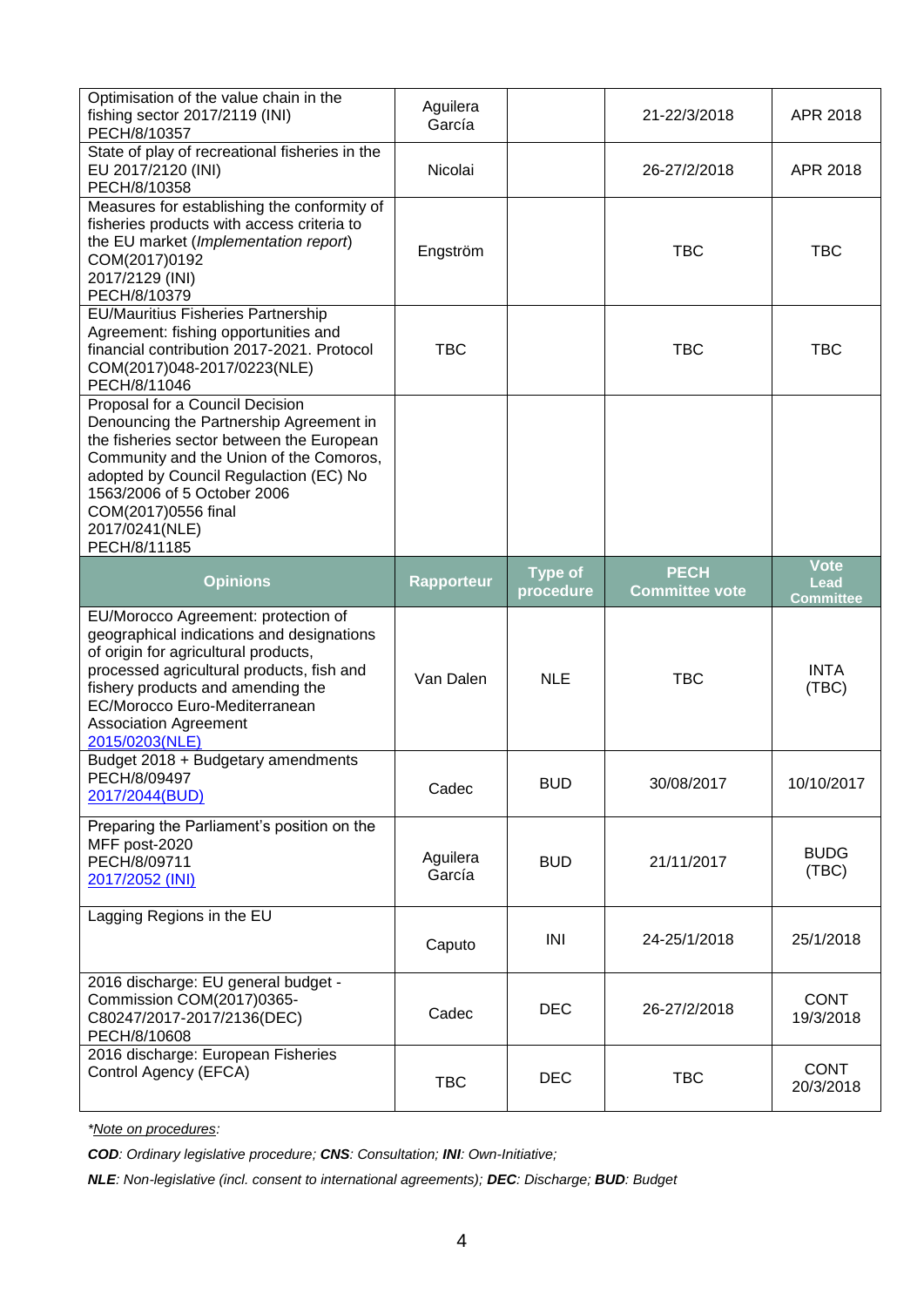| Optimisation of the value chain in the<br>fishing sector 2017/2119 (INI)<br>PECH/8/10357                                                                                                                                                                                                             | Aguilera<br>García |                | 21-22/3/2018          | APR 2018                 |
|------------------------------------------------------------------------------------------------------------------------------------------------------------------------------------------------------------------------------------------------------------------------------------------------------|--------------------|----------------|-----------------------|--------------------------|
| State of play of recreational fisheries in the<br>EU 2017/2120 (INI)<br>PECH/8/10358                                                                                                                                                                                                                 | Nicolai            |                | 26-27/2/2018          | APR 2018                 |
| Measures for establishing the conformity of<br>fisheries products with access criteria to<br>the EU market (Implementation report)<br>COM(2017)0192<br>2017/2129 (INI)<br>PECH/8/10379                                                                                                               | Engström           |                | <b>TBC</b>            | <b>TBC</b>               |
| <b>EU/Mauritius Fisheries Partnership</b><br>Agreement: fishing opportunities and<br>financial contribution 2017-2021. Protocol<br>COM(2017)048-2017/0223(NLE)<br>PECH/8/11046                                                                                                                       | <b>TBC</b>         |                | <b>TBC</b>            | <b>TBC</b>               |
| Proposal for a Council Decision<br>Denouncing the Partnership Agreement in<br>the fisheries sector between the European<br>Community and the Union of the Comoros,<br>adopted by Council Regulaction (EC) No<br>1563/2006 of 5 October 2006<br>COM(2017)0556 final<br>2017/0241(NLE)<br>PECH/8/11185 |                    |                |                       |                          |
| <b>Opinions</b>                                                                                                                                                                                                                                                                                      | <b>Rapporteur</b>  | <b>Type of</b> | <b>PECH</b>           | <b>Vote</b><br>Lead      |
|                                                                                                                                                                                                                                                                                                      |                    | procedure      | <b>Committee vote</b> | <b>Committee</b>         |
| EU/Morocco Agreement: protection of<br>geographical indications and designations<br>of origin for agricultural products,<br>processed agricultural products, fish and<br>fishery products and amending the<br>EC/Morocco Euro-Mediterranean<br><b>Association Agreement</b><br>2015/0203(NLE)        | Van Dalen          | <b>NLE</b>     | <b>TBC</b>            | <b>INTA</b><br>(TBC)     |
| Budget 2018 + Budgetary amendments<br>PECH/8/09497<br>2017/2044(BUD)                                                                                                                                                                                                                                 | Cadec              | <b>BUD</b>     | 30/08/2017            | 10/10/2017               |
| Preparing the Parliament's position on the<br>MFF post-2020<br>PECH/8/09711<br>2017/2052 (INI)                                                                                                                                                                                                       | Aguilera<br>García | <b>BUD</b>     | 21/11/2017            | <b>BUDG</b><br>(TBC)     |
| Lagging Regions in the EU                                                                                                                                                                                                                                                                            | Caputo             | INI            | 24-25/1/2018          | 25/1/2018                |
| 2016 discharge: EU general budget -<br>Commission COM(2017)0365-<br>C80247/2017-2017/2136(DEC)<br>PECH/8/10608<br>2016 discharge: European Fisheries                                                                                                                                                 | Cadec              | <b>DEC</b>     | 26-27/2/2018          | <b>CONT</b><br>19/3/2018 |

*\*Note on procedures:*

*COD: Ordinary legislative procedure; CNS: Consultation; INI: Own-Initiative;*

*NLE: Non-legislative (incl. consent to international agreements); DEC: Discharge; BUD: Budget*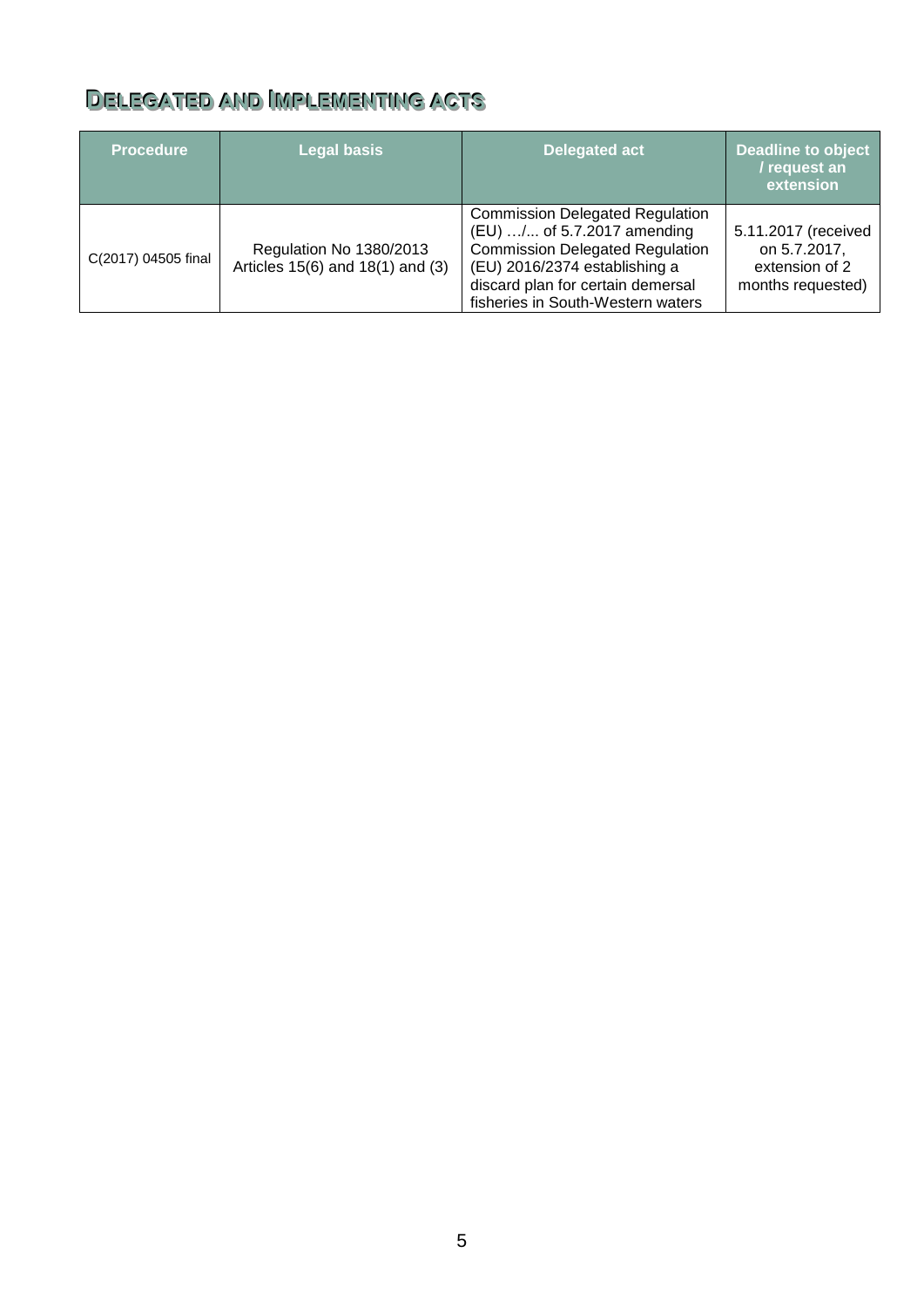## <span id="page-4-0"></span>DELEGATED AND IMPLEMENTING ACTS

| <b>Procedure</b>    | <b>Legal basis</b>                                          | <b>Delegated act</b>                                                                                                                                                                                                       | <b>Deadline to object</b><br>/ request an<br>extension                     |
|---------------------|-------------------------------------------------------------|----------------------------------------------------------------------------------------------------------------------------------------------------------------------------------------------------------------------------|----------------------------------------------------------------------------|
| C(2017) 04505 final | Regulation No 1380/2013<br>Articles 15(6) and 18(1) and (3) | <b>Commission Delegated Regulation</b><br>(EU) / of 5.7.2017 amending<br><b>Commission Delegated Regulation</b><br>(EU) 2016/2374 establishing a<br>discard plan for certain demersal<br>fisheries in South-Western waters | 5.11.2017 (received<br>on 5.7.2017,<br>extension of 2<br>months requested) |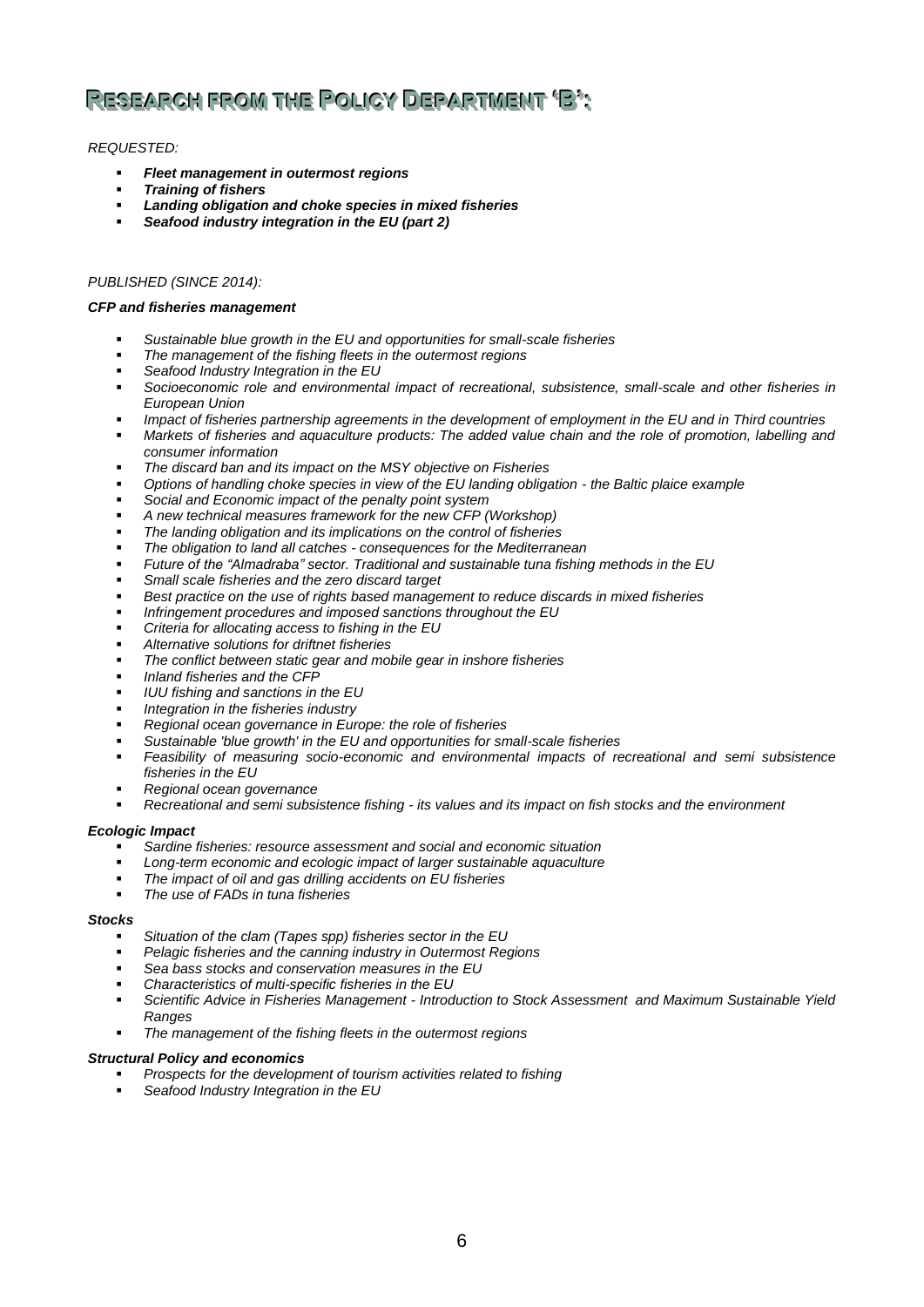# <span id="page-5-0"></span>**REESSEEAARRCCHHFFRROOMM TTHHEE POOLLI IICCYY DEEPPAARRTTMMEENNTT''B''::**

### *REQUESTED:*

- *Fleet management in outermost regions*
- *Training of fishers*
- *Landing obligation and choke species in mixed fisheries*
- *Seafood industry integration in the EU (part 2)*

### *PUBLISHED (SINCE 2014):*

#### *CFP and fisheries management*

- *Sustainable blue growth in the EU and opportunities for small-scale fisheries*
- *The management of the fishing fleets in the outermost regions*
- *Seafood Industry Integration in the EU*
- *Socioeconomic role and environmental impact of recreational, subsistence, small-scale and other fisheries in European Union*
- *Impact of fisheries partnership agreements in the development of employment in the EU and in Third countries*
- *Markets of fisheries and aquaculture products: The added value chain and the role of promotion, labelling and consumer information*
- *The discard ban and its impact on the MSY objective on Fisheries*
- *Options of handling choke species in view of the EU landing obligation - the Baltic plaice example*
- *Social and Economic impact of the penalty point system*
- *A new technical measures framework for the new CFP (Workshop)*
- *The landing obligation and its implications on the control of fisheries*
- *The obligation to land all catches - consequences for the Mediterranean*
- *Future of the "Almadraba" sector. Traditional and sustainable tuna fishing methods in the EU*
- *Small scale fisheries and the zero discard target*
- *Best practice on the use of rights based management to reduce discards in mixed fisheries*
- *Infringement procedures and imposed sanctions throughout the EU*
- *Criteria for allocating access to fishing in the EU*
- *Alternative solutions for driftnet fisheries*
- *The conflict between static gear and mobile gear in inshore fisheries*
- *Inland fisheries and the CFP*
- *IUU fishing and sanctions in the EU*
- *Integration in the fisheries industry*
- *Regional ocean governance in Europe: the role of fisheries*
- *Sustainable 'blue growth' in the EU and opportunities for small-scale fisheries*
- *Feasibility of measuring socio-economic and environmental impacts of recreational and semi subsistence fisheries in the EU*
- *Regional ocean governance*
- *Recreational and semi subsistence fishing - its values and its impact on fish stocks and the environment*

#### *Ecologic Impact*

- *Sardine fisheries: resource assessment and social and economic situation*
- *Long-term economic and ecologic impact of larger sustainable aquaculture*
- *The impact of oil and gas drilling accidents on EU fisheries*
- *The use of FADs in tuna fisheries*

#### *Stocks*

- *Situation of the clam (Tapes spp) fisheries sector in the EU*
- *Pelagic fisheries and the canning industry in Outermost Regions*
- *Sea bass stocks and conservation measures in the EU*
- *Characteristics of multi-specific fisheries in the EU*
- *Scientific Advice in Fisheries Management - Introduction to Stock Assessment and Maximum Sustainable Yield Ranges*
- *The management of the fishing fleets in the outermost regions*

#### *Structural Policy and economics*

- *Prospects for the development of tourism activities related to fishing*
- *Seafood Industry Integration in the EU*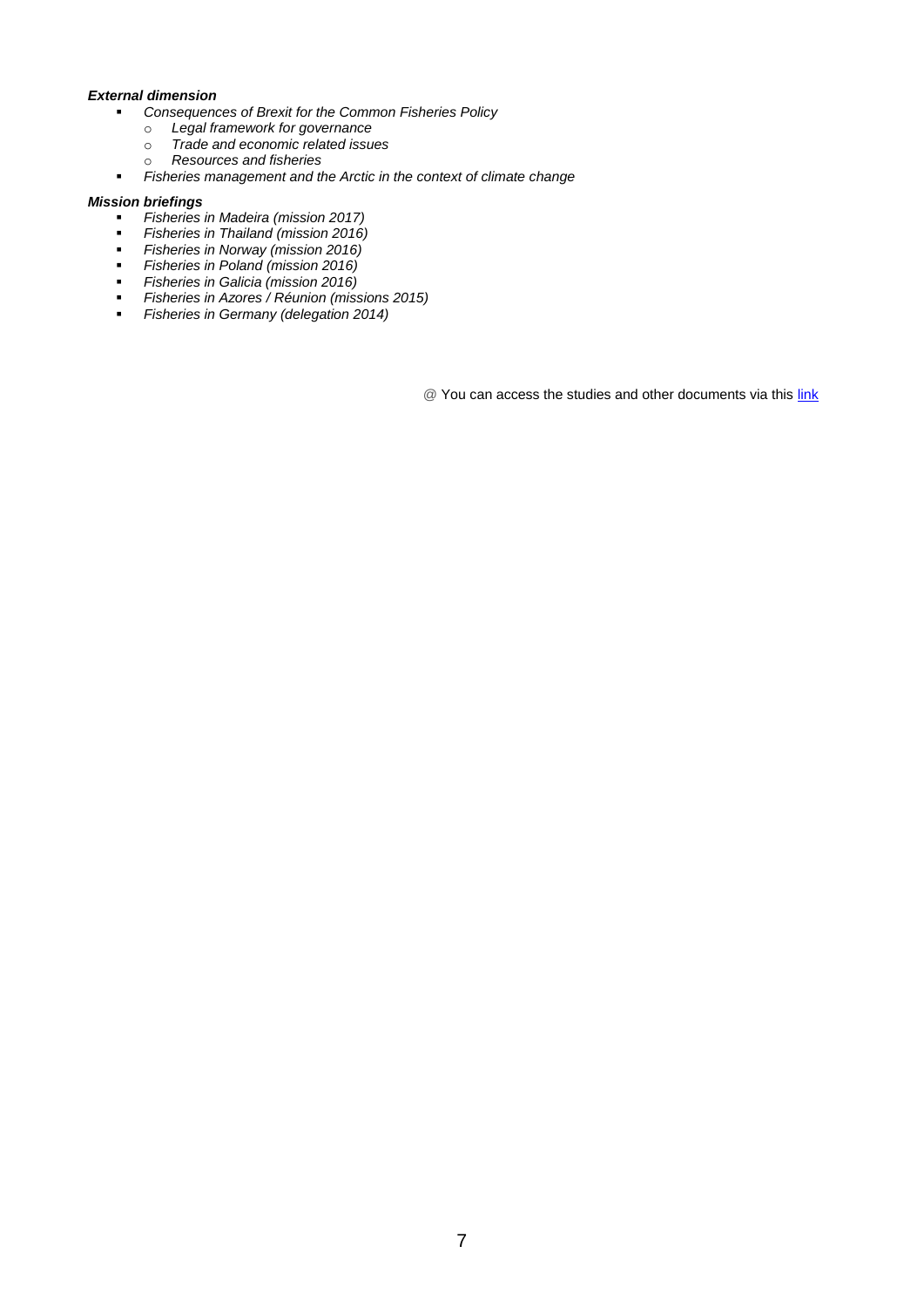#### *External dimension*

- *Consequences of Brexit for the Common Fisheries Policy*
	- o *Legal framework for governance*
	- o *Trade and economic related issues*
	- o *Resources and fisheries*
- *Fisheries management and the Arctic in the context of climate change*

#### *Mission briefings*

- *Fisheries in Madeira (mission 2017)*
- *Fisheries in Thailand (mission 2016)*
- *Fisheries in Norway (mission 2016)*
- *Fisheries in Poland (mission 2016)*
- *Fisheries in Galicia (mission 2016)*
- *Fisheries in Azores / Réunion (missions 2015)*
- *Fisheries in Germany (delegation 2014)*

@ You can access the studies and other documents via this [link](http://www.europarl.europa.eu/committees/en/pech/supporting-analyses.html)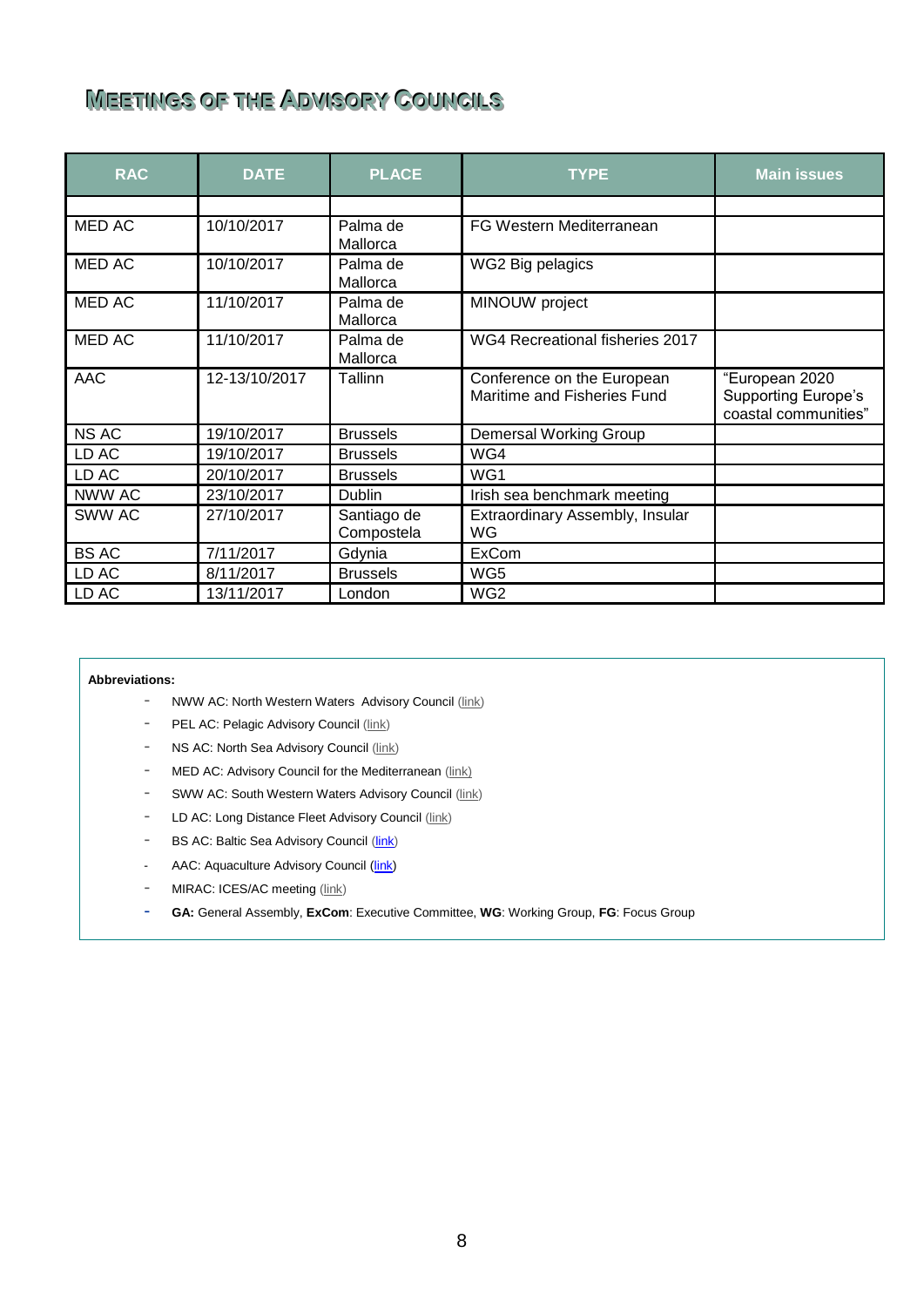## <span id="page-7-0"></span> $M$ **EETTINGS OF THE ADVISORY COUNCILS**

| <b>RAC</b>    | <b>DATE</b>   | <b>PLACE</b>              | <b>TYPE</b>                                               | <b>Main issues</b>                                                   |
|---------------|---------------|---------------------------|-----------------------------------------------------------|----------------------------------------------------------------------|
|               |               |                           |                                                           |                                                                      |
| <b>MED AC</b> | 10/10/2017    | Palma de<br>Mallorca      | FG Western Mediterranean                                  |                                                                      |
| MED AC        | 10/10/2017    | Palma de<br>Mallorca      | WG2 Big pelagics                                          |                                                                      |
| MED AC        | 11/10/2017    | Palma de<br>Mallorca      | MINOUW project                                            |                                                                      |
| MED AC        | 11/10/2017    | Palma de<br>Mallorca      | WG4 Recreational fisheries 2017                           |                                                                      |
| <b>AAC</b>    | 12-13/10/2017 | Tallinn                   | Conference on the European<br>Maritime and Fisheries Fund | "European 2020<br><b>Supporting Europe's</b><br>coastal communities" |
| <b>NS AC</b>  | 19/10/2017    | <b>Brussels</b>           | Demersal Working Group                                    |                                                                      |
| LD AC         | 19/10/2017    | <b>Brussels</b>           | WG4                                                       |                                                                      |
| LD AC         | 20/10/2017    | <b>Brussels</b>           | WG1                                                       |                                                                      |
| NWW AC        | 23/10/2017    | <b>Dublin</b>             | Irish sea benchmark meeting                               |                                                                      |
| SWW AC        | 27/10/2017    | Santiago de<br>Compostela | Extraordinary Assembly, Insular<br>WG                     |                                                                      |
| <b>BS AC</b>  | 7/11/2017     | Gdynia                    | <b>ExCom</b>                                              |                                                                      |
| LD AC         | 8/11/2017     | <b>Brussels</b>           | WG5                                                       |                                                                      |
| LD AC         | 13/11/2017    | London                    | WG <sub>2</sub>                                           |                                                                      |

#### **Abbreviations:**

- NWW AC: North Western Waters Advisory Council [\(link\)](http://nwwrac.org/)
- PEL AC: Pelagic Advisory Council [\(link\)](http://www.pelagic-rac.org/)
- NS AC: North Sea Advisory Council [\(link\)](http://www.nsrac.org/)
- MED AC: Advisory Council for the Mediterranean [\(link\)](http://en.med-ac.eu/index.php)
- SWW AC: South Western Waters Advisory Council [\(link\)](http://www.ccr-s.eu/)
- LD AC: Long Distance Fleet Advisory Council [\(link\)](http://ldrac.eu/)
- BS AC: Baltic Sea Advisory Council [\(link\)](http://www.bsac.dk/)
- AAC: Aquaculture Advisory Council [\(link\)](https://ec.europa.eu/fisheries/cfp/aquaculture/aquaculture-advisory-council_es)
- MIRAC: ICES/AC meeting [\(link\)](http://ices.dk/news-and-events/Pages/default.aspx)
- **GA:** General Assembly, **ExCom**: Executive Committee, **WG**: Working Group, **FG**: Focus Group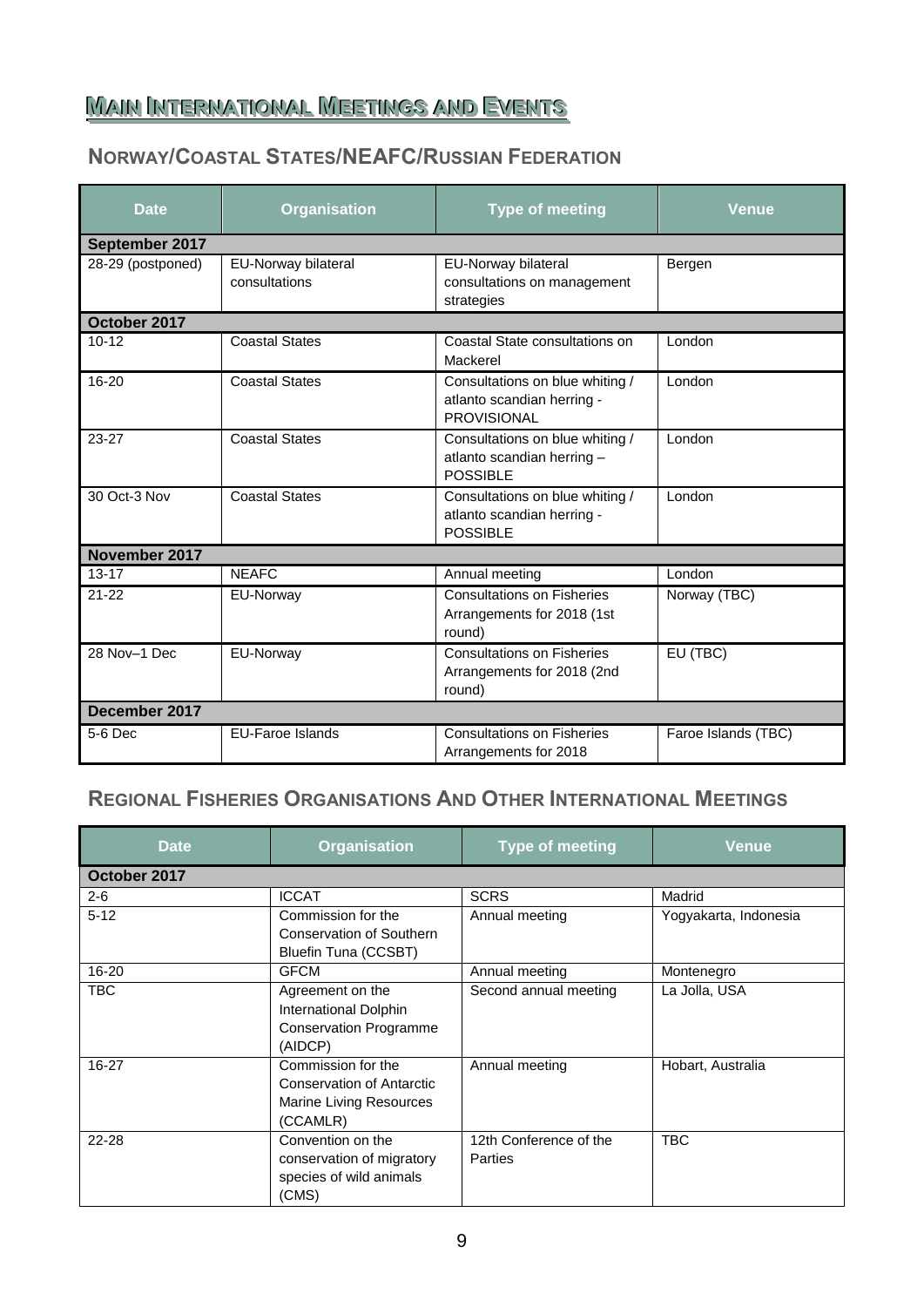## <span id="page-8-0"></span><u>Main International Meetings and Events</u>

### **NORWAY/COASTAL STATES/NEAFC/RUSSIAN FEDERATION**

| <b>Date</b>       | <b>Organisation</b>                  | <b>Type of meeting</b>                                                              | <b>Venue</b>        |
|-------------------|--------------------------------------|-------------------------------------------------------------------------------------|---------------------|
| September 2017    |                                      |                                                                                     |                     |
| 28-29 (postponed) | EU-Norway bilateral<br>consultations | EU-Norway bilateral<br>consultations on management<br>strategies                    | Bergen              |
| October 2017      |                                      |                                                                                     |                     |
| $10 - 12$         | <b>Coastal States</b>                | Coastal State consultations on<br>Mackerel                                          | London              |
| $16 - 20$         | <b>Coastal States</b>                | Consultations on blue whiting /<br>atlanto scandian herring -<br><b>PROVISIONAL</b> | London              |
| $23 - 27$         | <b>Coastal States</b>                | Consultations on blue whiting /<br>atlanto scandian herring -<br><b>POSSIBLE</b>    | London              |
| 30 Oct-3 Nov      | <b>Coastal States</b>                | Consultations on blue whiting /<br>atlanto scandian herring -<br><b>POSSIBLE</b>    | London              |
| November 2017     |                                      |                                                                                     |                     |
| $13 - 17$         | <b>NEAFC</b>                         | Annual meeting                                                                      | London              |
| $21 - 22$         | EU-Norway                            | <b>Consultations on Fisheries</b><br>Arrangements for 2018 (1st<br>round)           | Norway (TBC)        |
| 28 Nov-1 Dec      | EU-Norway                            | <b>Consultations on Fisheries</b><br>Arrangements for 2018 (2nd<br>round)           | EU (TBC)            |
| December 2017     |                                      |                                                                                     |                     |
| $5-6$ Dec         | <b>EU-Faroe Islands</b>              | <b>Consultations on Fisheries</b><br>Arrangements for 2018                          | Faroe Islands (TBC) |

### **REGIONAL FISHERIES ORGANISATIONS AND OTHER INTERNATIONAL MEETINGS**

| <b>Date</b>  | <b>Organisation</b>                                                                           | <b>Type of meeting</b>                   | <b>Venue</b>          |
|--------------|-----------------------------------------------------------------------------------------------|------------------------------------------|-----------------------|
| October 2017 |                                                                                               |                                          |                       |
| $2 - 6$      | <b>ICCAT</b>                                                                                  | <b>SCRS</b>                              | Madrid                |
| $5 - 12$     | Commission for the<br><b>Conservation of Southern</b><br><b>Bluefin Tuna (CCSBT)</b>          | Annual meeting                           | Yogyakarta, Indonesia |
| $16 - 20$    | <b>GFCM</b>                                                                                   | Annual meeting                           | Montenegro            |
| <b>TBC</b>   | Agreement on the<br>International Dolphin<br><b>Conservation Programme</b><br>(AIDCP)         | Second annual meeting                    | La Jolla, USA         |
| 16-27        | Commission for the<br><b>Conservation of Antarctic</b><br>Marine Living Resources<br>(CCAMLR) | Annual meeting                           | Hobart, Australia     |
| 22-28        | Convention on the<br>conservation of migratory<br>species of wild animals<br>(CMS)            | 12th Conference of the<br><b>Parties</b> | <b>TBC</b>            |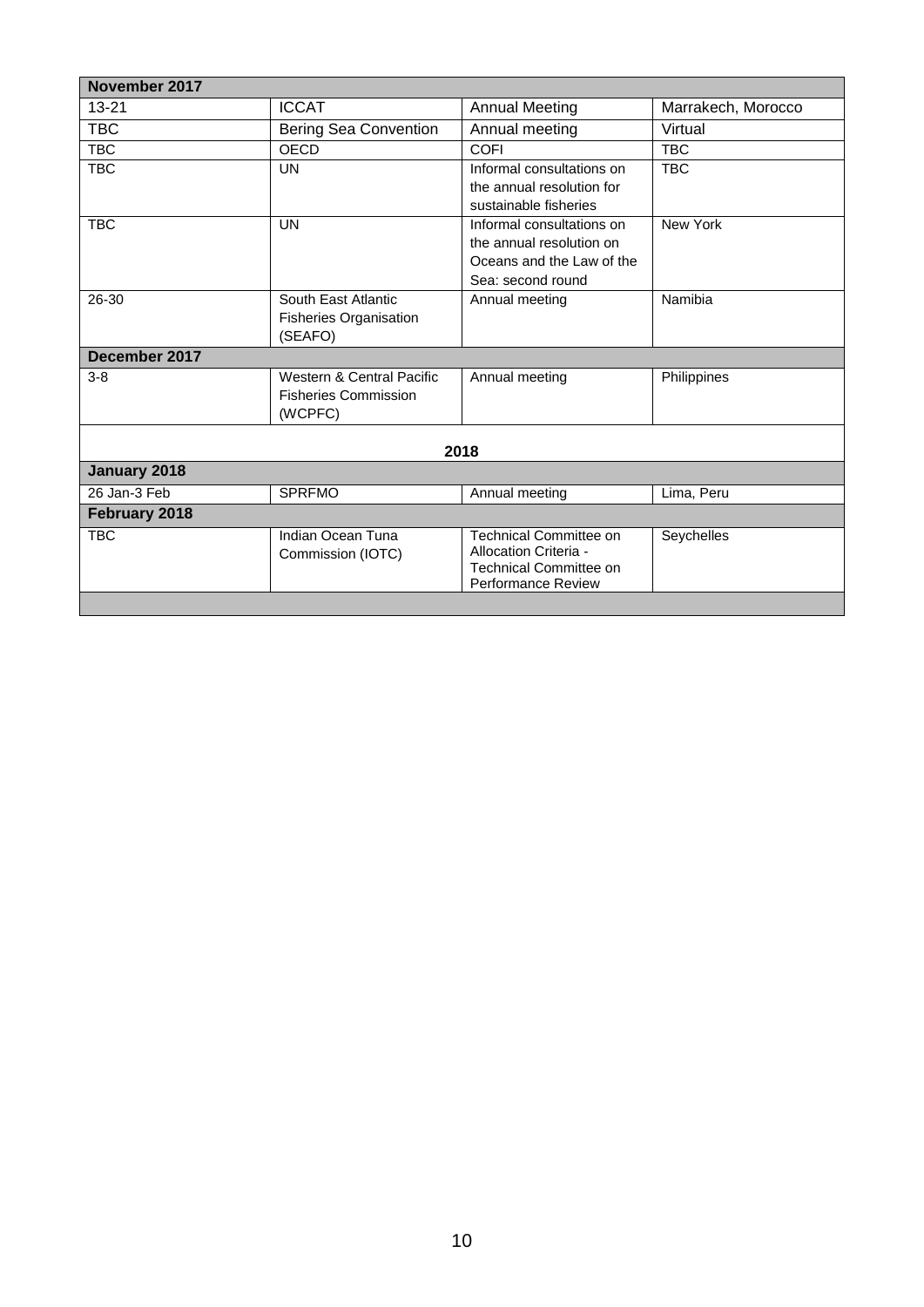| November 2017 |                              |                               |                    |
|---------------|------------------------------|-------------------------------|--------------------|
| $13 - 21$     | <b>ICCAT</b>                 | <b>Annual Meeting</b>         | Marrakech, Morocco |
| <b>TBC</b>    | <b>Bering Sea Convention</b> | Annual meeting                | Virtual            |
| <b>TBC</b>    | OECD                         | <b>COFI</b>                   | <b>TBC</b>         |
| <b>TBC</b>    | <b>UN</b>                    | Informal consultations on     | <b>TBC</b>         |
|               |                              | the annual resolution for     |                    |
|               |                              | sustainable fisheries         |                    |
| <b>TBC</b>    | <b>UN</b>                    | Informal consultations on     | <b>New York</b>    |
|               |                              | the annual resolution on      |                    |
|               |                              | Oceans and the Law of the     |                    |
|               |                              | Sea: second round             |                    |
| 26-30         | South East Atlantic          | Annual meeting                | Namibia            |
|               | Fisheries Organisation       |                               |                    |
|               | (SEAFO)                      |                               |                    |
| December 2017 |                              |                               |                    |
| $3 - 8$       | Western & Central Pacific    | Annual meeting                | Philippines        |
|               | <b>Fisheries Commission</b>  |                               |                    |
|               | (WCPFC)                      |                               |                    |
|               |                              |                               |                    |
|               |                              | 2018                          |                    |
| January 2018  |                              |                               |                    |
| 26 Jan-3 Feb  | <b>SPRFMO</b>                | Annual meeting                | Lima, Peru         |
| February 2018 |                              |                               |                    |
| <b>TBC</b>    | Indian Ocean Tuna            | <b>Technical Committee on</b> | Seychelles         |
|               | Commission (IOTC)            | Allocation Criteria -         |                    |
|               |                              | <b>Technical Committee on</b> |                    |
|               |                              | <b>Performance Review</b>     |                    |
|               |                              |                               |                    |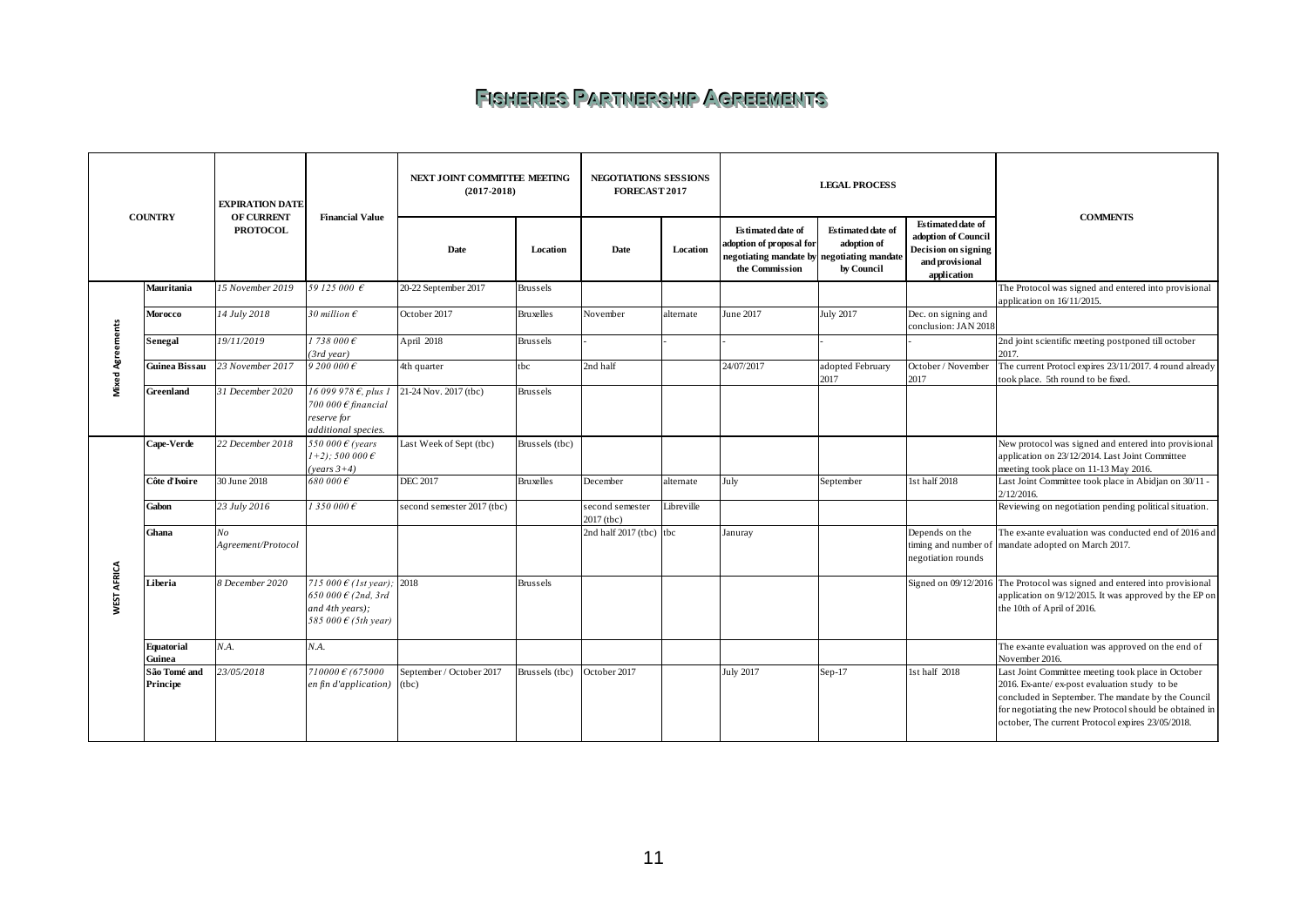### **FISHERIES PARTMERSHIP AGREEMENTS**

<span id="page-10-0"></span>

|                         |                                                                                  | <b>EXPIRATION DATE</b>   |                                                                                                                         | NEXT JOINT COMMITTEE MEETING<br><b>NEGOTIATIONS SESSIONS</b><br>$(2017 - 2018)$<br><b>FORECAST 2017</b> |                  | <b>LEGAL PROCESS</b>          |            |                                                                                                                      |                                                |                                                                                                          |                                                                                                                                                                                                                                                                          |
|-------------------------|----------------------------------------------------------------------------------|--------------------------|-------------------------------------------------------------------------------------------------------------------------|---------------------------------------------------------------------------------------------------------|------------------|-------------------------------|------------|----------------------------------------------------------------------------------------------------------------------|------------------------------------------------|----------------------------------------------------------------------------------------------------------|--------------------------------------------------------------------------------------------------------------------------------------------------------------------------------------------------------------------------------------------------------------------------|
|                         | <b>COUNTRY</b><br><b>OF CURRENT</b><br><b>Financial Value</b><br><b>PROTOCOL</b> |                          |                                                                                                                         | Date                                                                                                    | Location         | Date                          | Location   | <b>Estimated date of</b><br>adoption of proposal for<br>negotiating mandate by negotiating mandate<br>the Commission | Estimated date of<br>adoption of<br>by Council | <b>Estimated date of</b><br>adoption of Council<br>Decision on signing<br>and provisional<br>application | <b>COMMENTS</b>                                                                                                                                                                                                                                                          |
|                         | Mauritania                                                                       | 15 November 2019         | 59 125 000 €                                                                                                            | 20-22 September 2017                                                                                    | Brussels         |                               |            |                                                                                                                      |                                                |                                                                                                          | The Protocol was signed and entered into provisional<br>application on 16/11/2015.                                                                                                                                                                                       |
|                         | Morocco                                                                          | 14 July 2018             | 30 million $\epsilon$                                                                                                   | October 2017                                                                                            | Bruxelles        | November                      | alternate  | June 2017                                                                                                            | <b>July 2017</b>                               | Dec. on signing and<br>conclusion: JAN 2018                                                              |                                                                                                                                                                                                                                                                          |
| <b>Mixed Agreements</b> | Senegal                                                                          | 19/11/2019               | 1738000E<br>(3rd year)                                                                                                  | April 2018                                                                                              | Brussels         |                               |            |                                                                                                                      |                                                |                                                                                                          | 2nd joint scientific meeting postponed till october<br>2017.                                                                                                                                                                                                             |
|                         | Guinea Bissau                                                                    | 23 November 2017         | $9,200,000 \in$                                                                                                         | 4th quarter                                                                                             | tbc              | 2nd half                      |            | 24/07/2017                                                                                                           | adopted February<br>2017                       | October / November<br>2017                                                                               | The current Protocl expires 23/11/2017. 4 round already<br>took place. 5th round to be fixed.                                                                                                                                                                            |
|                         | Greenland                                                                        | 31 December 2020         | 16 099 978 €, plus 1<br>700 000 $\epsilon$ financial<br>reserve for<br>additional species.                              | 21-24 Nov. 2017 (tbc)                                                                                   | Brussels         |                               |            |                                                                                                                      |                                                |                                                                                                          |                                                                                                                                                                                                                                                                          |
|                         | Cape-Verde                                                                       | 22 December 2018         | 550 000 $\epsilon$ (years<br>$(1+2)$ ; 500 000 $\epsilon$<br>$(years 3+4)$                                              | Last Week of Sept (tbc)                                                                                 | Brussels (tbc)   |                               |            |                                                                                                                      |                                                |                                                                                                          | New protocol was signed and entered into provisional<br>application on 23/12/2014. Last Joint Committee<br>meeting took place on 11-13 May 2016.                                                                                                                         |
|                         | Côte d'Ivoire                                                                    | 30 June 2018             | $680000 \in$                                                                                                            | <b>DEC 2017</b>                                                                                         | <b>Bruxelles</b> | December                      | alternate  | July                                                                                                                 | September                                      | 1st half 2018                                                                                            | Last Joint Committee took place in Abidjan on 30/11 -<br>2/12/2016.                                                                                                                                                                                                      |
|                         | Gabon                                                                            | 23 July 2016             | 1350000E                                                                                                                | second semester 2017 (tbc)                                                                              |                  | second semester<br>2017 (tbc) | Libreville |                                                                                                                      |                                                |                                                                                                          | Reviewing on negotiation pending political situation.                                                                                                                                                                                                                    |
|                         | Ghana                                                                            | No<br>Agreement/Protocol |                                                                                                                         |                                                                                                         |                  | 2nd half 2017 (tbc) tbc       |            | Januray                                                                                                              |                                                | Depends on the<br>timing and number of<br>negotiation rounds                                             | The ex-ante evaluation was conducted end of 2016 and<br>mandate adopted on March 2017.                                                                                                                                                                                   |
| WEST AFRICA             | Liberia                                                                          | 8 December 2020          | 715 000 $\epsilon$ (1st year); 2018<br>650 000 $\epsilon$ (2nd, 3rd<br>and 4th years);<br>585 000 $\epsilon$ (5th year) |                                                                                                         | <b>Brussels</b>  |                               |            |                                                                                                                      |                                                |                                                                                                          | Signed on 09/12/2016 The Protocol was signed and entered into provisional<br>application on 9/12/2015. It was approved by the EP on<br>the 10th of April of 2016.                                                                                                        |
|                         | <b>Equatorial</b><br>Guinea                                                      | N.A.                     | N.A.                                                                                                                    |                                                                                                         |                  |                               |            |                                                                                                                      |                                                |                                                                                                          | The ex-ante evaluation was approved on the end of<br>November 2016.                                                                                                                                                                                                      |
|                         | São Tomé and<br>Principe                                                         | 23/05/2018               | $710000 \t6 (675000$<br>en fin d'application)                                                                           | September / October 2017<br>(tbc)                                                                       | Brussels (tbc)   | October 2017                  |            | July 2017                                                                                                            | $Sep-17$                                       | 1st half 2018                                                                                            | Last Joint Committee meeting took place in October<br>2016. Ex-ante/ ex-post evaluation study to be<br>concluded in September. The mandate by the Council<br>for negotiating the new Protocol should be obtained in<br>october, The current Protocol expires 23/05/2018. |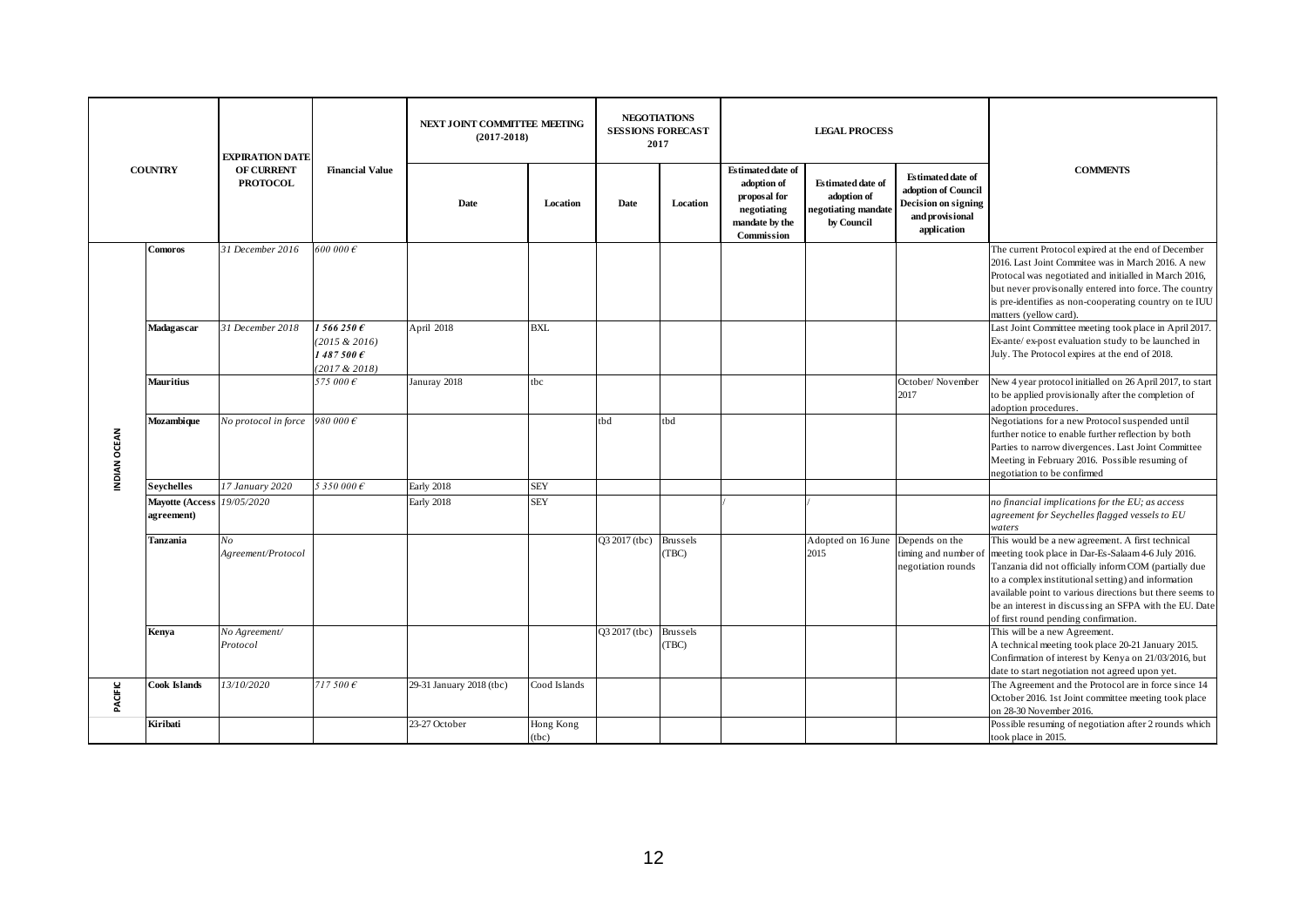|              |                                      | <b>EXPIRATION DATE</b>                  |                                                        | NEXT JOINT COMMITTEE MEETING<br>$(2017-2018)$ |                    |               | <b>NEGOTIATIONS</b><br><b>SESSIONS FORECAST</b><br><b>LEGAL PROCESS</b><br>2017 |                                                                                                        |                                                                              |                                                                                                          |                                                                                                                                                                                                                                                                                                                                                                                      |
|--------------|--------------------------------------|-----------------------------------------|--------------------------------------------------------|-----------------------------------------------|--------------------|---------------|---------------------------------------------------------------------------------|--------------------------------------------------------------------------------------------------------|------------------------------------------------------------------------------|----------------------------------------------------------------------------------------------------------|--------------------------------------------------------------------------------------------------------------------------------------------------------------------------------------------------------------------------------------------------------------------------------------------------------------------------------------------------------------------------------------|
|              | <b>COUNTRY</b>                       | <b>OF CURRENT</b><br><b>PROTOCOL</b>    | <b>Financial Value</b>                                 | Date                                          | Location           | Date          | Location                                                                        | <b>Estimated date of</b><br>adoption of<br>proposal for<br>negotiating<br>mandate by the<br>Commission | <b>Estimated date of</b><br>adoption of<br>negotiating mandate<br>by Council | <b>Estimated date of</b><br>adoption of Council<br>Decision on signing<br>and provisional<br>application | <b>COMMENTS</b>                                                                                                                                                                                                                                                                                                                                                                      |
|              | <b>Comoros</b>                       | 31 December 2016                        | 600 000 $\epsilon$                                     |                                               |                    |               |                                                                                 |                                                                                                        |                                                                              |                                                                                                          | The current Protocol expired at the end of December<br>2016. Last Joint Commitee was in March 2016. A new<br>Protocal was negotiated and initialled in March 2016,<br>but never provisonally entered into force. The country<br>is pre-identifies as non-cooperating country on te IUU<br>matters (yellow card).                                                                     |
|              | Madagascar                           | 31 December 2018                        | 1566250E<br>(2015 & 2016)<br>1487500E<br>(2017 & 2018) | April 2018                                    | <b>BXL</b>         |               |                                                                                 |                                                                                                        |                                                                              |                                                                                                          | Last Joint Committee meeting took place in April 2017.<br>Ex-ante/ ex-post evaluation study to be launched in<br>July. The Protocol expires at the end of 2018.                                                                                                                                                                                                                      |
|              | <b>Mauritius</b>                     |                                         | 575 000€                                               | Januray 2018                                  | tbc                |               |                                                                                 |                                                                                                        |                                                                              | October/November<br>2017                                                                                 | New 4 year protocol initialled on 26 April 2017, to start<br>to be applied provisionally after the completion of<br>adoption procedures.                                                                                                                                                                                                                                             |
| INDIAN OCEAN | Mozambique                           | No protocol in force 980 000 $\epsilon$ |                                                        |                                               |                    | tbd           | tbd                                                                             |                                                                                                        |                                                                              |                                                                                                          | Negotiations for a new Protocol suspended until<br>further notice to enable further reflection by both<br>Parties to narrow divergences. Last Joint Committee<br>Meeting in February 2016. Possible resuming of<br>negotiation to be confirmed                                                                                                                                       |
|              | <b>Sevchelles</b>                    | 17 January 2020                         | 5 350 000 €                                            | Early 2018                                    | <b>SEY</b>         |               |                                                                                 |                                                                                                        |                                                                              |                                                                                                          |                                                                                                                                                                                                                                                                                                                                                                                      |
|              | <b>Mayotte (Access</b><br>agreement) | 19/05/2020                              |                                                        | Early 2018                                    | <b>SEY</b>         |               |                                                                                 |                                                                                                        |                                                                              |                                                                                                          | no financial implications for the EU; as access<br>agreement for Seychelles flagged vessels to EU<br>waters                                                                                                                                                                                                                                                                          |
|              | Tanzania                             | No<br>Agreement/Protocol                |                                                        |                                               |                    | Q3 2017 (tbc) | <b>Brussels</b><br>(TBC)                                                        |                                                                                                        | Adopted on 16 June<br>2015                                                   | Depends on the<br>timing and number of<br>negotiation rounds                                             | This would be a new agreement. A first technical<br>meeting took place in Dar-Es-Salaam 4-6 July 2016.<br>Tanzania did not officially inform COM (partially due<br>to a complex institutional setting) and information<br>available point to various directions but there seems to<br>be an interest in discussing an SFPA with the EU. Date<br>of first round pending confirmation. |
|              | Kenya                                | No Agreement/<br>Protocol               |                                                        |                                               |                    | Q3 2017 (tbc) | Brussels<br>(TBC)                                                               |                                                                                                        |                                                                              |                                                                                                          | This will be a new Agreement.<br>A technical meeting took place 20-21 January 2015.<br>Confirmation of interest by Kenya on 21/03/2016, but<br>date to start negotiation not agreed upon yet.                                                                                                                                                                                        |
| PACIFIC      | Cook Islands                         | 13/10/2020                              | 717500E                                                | 29-31 January 2018 (tbc)                      | Cood Islands       |               |                                                                                 |                                                                                                        |                                                                              |                                                                                                          | The Agreement and the Protocol are in force since 14<br>October 2016. 1st Joint committee meeting took place<br>on 28-30 November 2016.                                                                                                                                                                                                                                              |
|              | Kiribati                             |                                         |                                                        | 23-27 October                                 | Hong Kong<br>(tbc) |               |                                                                                 |                                                                                                        |                                                                              |                                                                                                          | Possible resuming of negotiation after 2 rounds which<br>took place in 2015.                                                                                                                                                                                                                                                                                                         |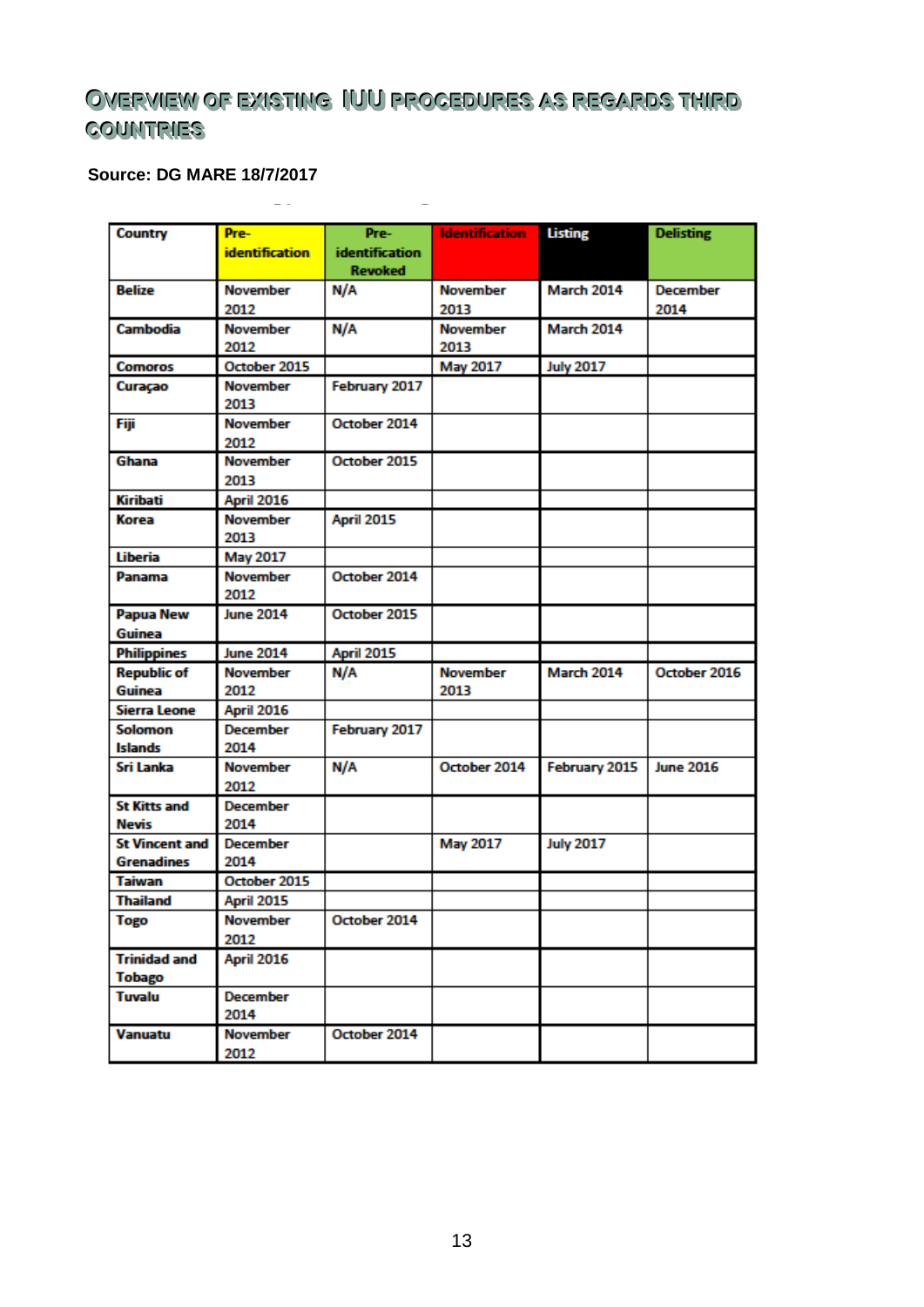## <span id="page-12-0"></span> $\overline{\text{O}}$ WERWIEW OF EXISTING IUU PROGEDURES AS REGARDS THIRD **COUNTRIES**

### **Source: DG MARE 18/7/2017**

| <b>Country</b>        | Pre-                  | Pre-                  | <b>Identification</b> | <b>Listing</b>    | <b>Delisting</b> |
|-----------------------|-----------------------|-----------------------|-----------------------|-------------------|------------------|
|                       | <b>identification</b> | <b>identification</b> |                       |                   |                  |
|                       |                       | <b>Revoked</b>        |                       |                   |                  |
| <b>Belize</b>         | <b>November</b>       | N/A                   | <b>November</b>       | <b>March 2014</b> | <b>December</b>  |
|                       | 2012                  |                       | 2013                  |                   | 2014             |
| <b>Cambodia</b>       | <b>November</b>       | N/A                   | <b>November</b>       | March 2014        |                  |
|                       | 2012                  |                       | 2013                  |                   |                  |
| <b>Comoros</b>        | October 2015          |                       | <b>May 2017</b>       | <b>July 2017</b>  |                  |
| Curaçao               | <b>November</b>       | February 2017         |                       |                   |                  |
|                       | 2013                  |                       |                       |                   |                  |
| Fiji                  | <b>November</b>       | October 2014          |                       |                   |                  |
|                       | 2012                  |                       |                       |                   |                  |
| Ghana                 | <b>November</b>       | October 2015          |                       |                   |                  |
|                       | 2013                  |                       |                       |                   |                  |
| <b>Kiribati</b>       | April 2016            |                       |                       |                   |                  |
| Korea                 | <b>November</b>       | April 2015            |                       |                   |                  |
|                       | 2013                  |                       |                       |                   |                  |
| <b>Liberia</b>        | <b>May 2017</b>       |                       |                       |                   |                  |
| Panama                | <b>November</b>       | October 2014          |                       |                   |                  |
|                       | 2012                  |                       |                       |                   |                  |
| <b>Papua New</b>      | <b>June 2014</b>      | October 2015          |                       |                   |                  |
| Guinea                |                       |                       |                       |                   |                  |
| <b>Philippines</b>    | <b>June 2014</b>      | April 2015            |                       |                   |                  |
| <b>Republic of</b>    | <b>November</b>       | N/A                   | <b>November</b>       | March 2014        | October 2016     |
| Guinea                | 2012                  |                       | 2013                  |                   |                  |
| <b>Sierra Leone</b>   | April 2016            |                       |                       |                   |                  |
| Solomon               | <b>December</b>       | February 2017         |                       |                   |                  |
| <b>Islands</b>        | 2014                  |                       |                       |                   |                  |
| Sri Lanka             | <b>November</b>       | N/A                   | October 2014          | February 2015     | <b>June 2016</b> |
|                       | 2012                  |                       |                       |                   |                  |
| <b>St Kitts and</b>   | <b>December</b>       |                       |                       |                   |                  |
| <b>Nevis</b>          | 2014                  |                       |                       |                   |                  |
| <b>St Vincent and</b> | <b>December</b>       |                       | May 2017              | <b>July 2017</b>  |                  |
| <b>Grenadines</b>     | 2014                  |                       |                       |                   |                  |
| <b>Taiwan</b>         | October 2015          |                       |                       |                   |                  |
| <b>Thailand</b>       | April 2015            |                       |                       |                   |                  |
| Togo                  | November              | October 2014          |                       |                   |                  |
|                       | 2012                  |                       |                       |                   |                  |
| <b>Trinidad and</b>   | April 2016            |                       |                       |                   |                  |
| <b>Tobago</b>         |                       |                       |                       |                   |                  |
| <b>Tuvalu</b>         | <b>December</b>       |                       |                       |                   |                  |
|                       | 2014                  |                       |                       |                   |                  |
| <b>Vanuatu</b>        | <b>November</b>       | October 2014          |                       |                   |                  |
|                       | 2012                  |                       |                       |                   |                  |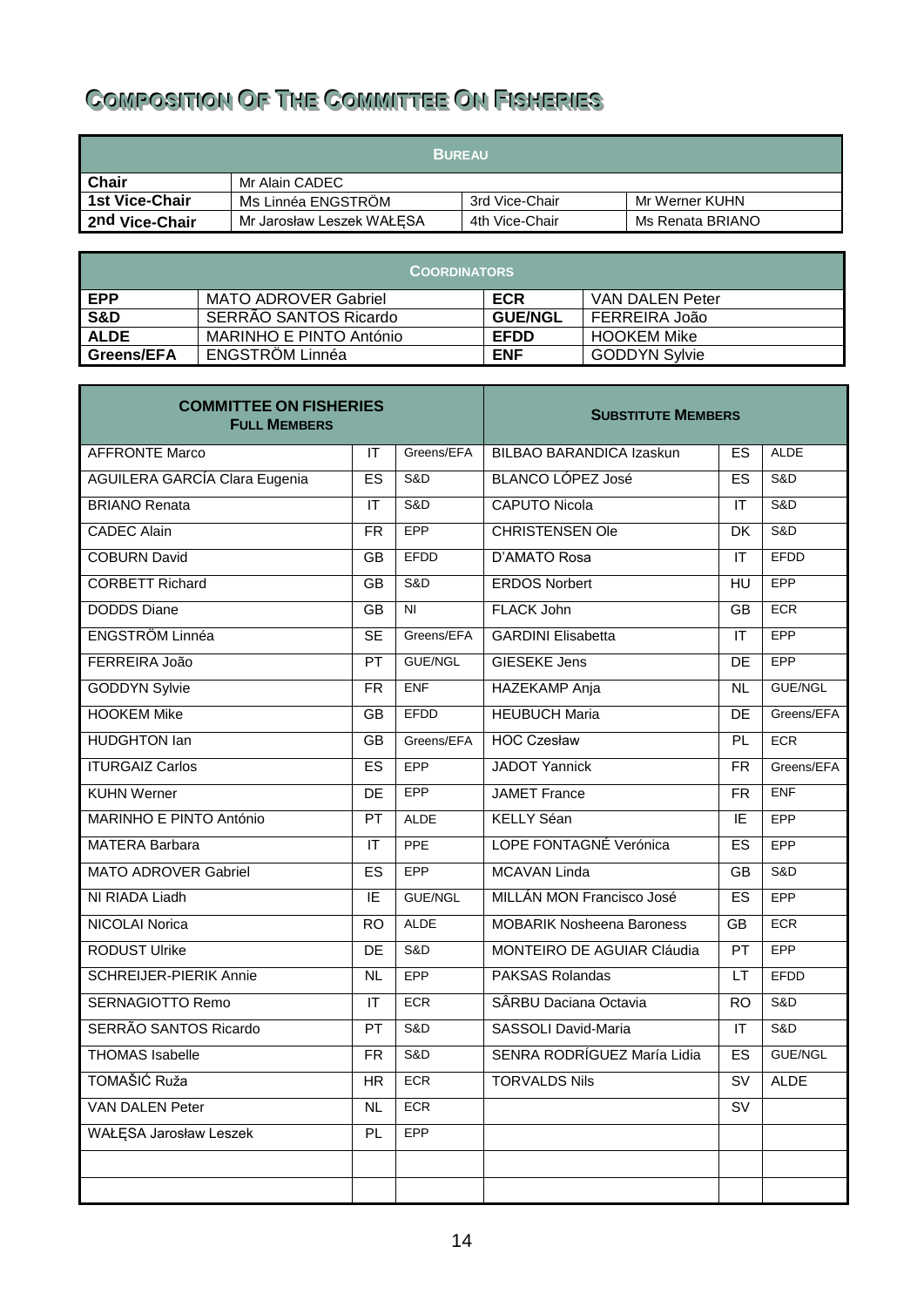# <span id="page-13-0"></span> $\blacksquare$  **Composition OF The Committee On Fisheries**

| <b>BUREAU</b>         |                           |                |                  |  |  |
|-----------------------|---------------------------|----------------|------------------|--|--|
| <b>Chair</b>          | Mr Alain CADEC            |                |                  |  |  |
| <b>1st Vice-Chair</b> | Ms Linnéa ENGSTRÖM        | 3rd Vice-Chair | Mr Werner KUHN   |  |  |
| 2nd Vice-Chair        | Mr Jarosław Leszek WAŁESA | 4th Vice-Chair | Ms Renata BRIANO |  |  |

| <b>COORDINATORS</b> |                             |                |                      |  |  |  |  |
|---------------------|-----------------------------|----------------|----------------------|--|--|--|--|
| EPP                 | <b>MATO ADROVER Gabriel</b> | <b>ECR</b>     | VAN DALEN Peter      |  |  |  |  |
| <b>S&amp;D</b>      | SERRÃO SANTOS Ricardo       | <b>GUE/NGL</b> | I FERREIRA João      |  |  |  |  |
| <b>ALDE</b>         | MARINHO E PINTO António     | <b>EFDD</b>    | <b>HOOKEM Mike</b>   |  |  |  |  |
| <b>Greens/EFA</b>   | ENGSTRÖM Linnéa             | <b>ENF</b>     | <b>GODDYN Sylvie</b> |  |  |  |  |

| <b>COMMITTEE ON FISHERIES</b><br><b>FULL MEMBERS</b> | <b>SUBSTITUTE MEMBERS</b>            |                |                                  |                                   |                |
|------------------------------------------------------|--------------------------------------|----------------|----------------------------------|-----------------------------------|----------------|
| <b>AFFRONTE Marco</b>                                | IT                                   | Greens/EFA     | <b>BILBAO BARANDICA Izaskun</b>  | ES                                | <b>ALDE</b>    |
| <b>AGUILERA GARCÍA Clara Eugenia</b>                 |                                      | S&D            | BLANCO LÓPEZ José                | ES                                | S&D            |
| <b>BRIANO Renata</b>                                 |                                      | S&D            | <b>CAPUTO Nicola</b>             | IT                                | S&D            |
| <b>CADEC Alain</b>                                   |                                      | <b>EPP</b>     | <b>CHRISTENSEN Ole</b>           | DK                                | S&D            |
| <b>COBURN David</b>                                  |                                      | <b>EFDD</b>    | D'AMATO Rosa                     | IT                                | <b>EFDD</b>    |
| <b>CORBETT Richard</b>                               |                                      | S&D            | <b>ERDOS Norbert</b>             | HU                                | <b>EPP</b>     |
| <b>DODDS</b> Diane                                   |                                      | N <sub>l</sub> | <b>FLACK John</b>                | <b>GB</b>                         | <b>ECR</b>     |
| ENGSTRÖM Linnéa                                      |                                      | Greens/EFA     | <b>GARDINI Elisabetta</b>        | IT                                | <b>EPP</b>     |
| FERREIRA João                                        | PT                                   | <b>GUE/NGL</b> | <b>GIESEKE Jens</b>              | DE                                | <b>EPP</b>     |
| <b>GODDYN Sylvie</b>                                 | <b>FR</b>                            | <b>ENF</b>     | <b>HAZEKAMP</b> Anja             | <b>NL</b>                         | <b>GUE/NGL</b> |
| <b>HOOKEM Mike</b>                                   | <b>GB</b>                            | EFDD           | <b>HEUBUCH Maria</b>             | DE                                | Greens/EFA     |
| <b>HUDGHTON lan</b>                                  | GB                                   | Greens/EFA     | <b>HOC Czesław</b>               | <b>PL</b>                         | <b>ECR</b>     |
| <b>ITURGAIZ Carlos</b>                               | ES                                   | <b>EPP</b>     | <b>JADOT Yannick</b>             | <b>FR</b>                         | Greens/EFA     |
| <b>KUHN Werner</b>                                   | DE                                   | <b>EPP</b>     | <b>JAMET</b> France              | <b>FR</b>                         | <b>ENF</b>     |
| MARINHO E PINTO António                              | PT                                   | <b>ALDE</b>    | <b>KELLY Séan</b>                | IE                                | EPP            |
| <b>MATERA Barbara</b>                                | $\mathsf{I}\mathsf{T}$               | <b>PPE</b>     | LOPE FONTAGNÉ Verónica           | ES                                | EPP            |
| <b>MATO ADROVER Gabriel</b>                          | ES                                   | <b>EPP</b>     | <b>MCAVAN Linda</b>              | <b>GB</b>                         | S&D            |
| NI RIADA Liadh                                       | IE                                   | <b>GUE/NGL</b> | MILLÁN MON Francisco José        | ES                                | <b>EPP</b>     |
| <b>NICOLAI Norica</b>                                | <b>RO</b>                            | <b>ALDE</b>    | <b>MOBARIK Nosheena Baroness</b> |                                   | <b>ECR</b>     |
| <b>RODUST Ulrike</b>                                 | DE                                   | S&D            | MONTEIRO DE AGUIAR Cláudia       |                                   | EPP            |
| <b>SCHREIJER-PIERIK Annie</b>                        | <b>NL</b>                            | <b>EPP</b>     | <b>PAKSAS Rolandas</b>           | LT                                | <b>EFDD</b>    |
| <b>SERNAGIOTTO Remo</b>                              | $\mathsf{I}\mathsf{T}$<br><b>ECR</b> |                | SÂRBU Daciana Octavia            | <b>RO</b>                         | S&D            |
| SERRÃO SANTOS Ricardo                                | PT                                   | S&D            | <b>SASSOLI David-Maria</b>       | $\mathsf{I}\mathsf{T}$            | S&D            |
| <b>THOMAS Isabelle</b>                               | $\overline{FR}$                      | S&D            | SENRA RODRÍGUEZ María Lidia      | ES                                | <b>GUE/NGL</b> |
| TOMAŠIĆ Ruža                                         |                                      | ECR            | <b>TORVALDS Nils</b>             | $\overline{\mathsf{S}\mathsf{V}}$ | <b>ALDE</b>    |
| VAN DALEN Peter                                      |                                      | <b>ECR</b>     |                                  | SV                                |                |
| WAŁĘSA Jarosław Leszek                               |                                      | <b>EPP</b>     |                                  |                                   |                |
|                                                      |                                      |                |                                  |                                   |                |
|                                                      |                                      |                |                                  |                                   |                |